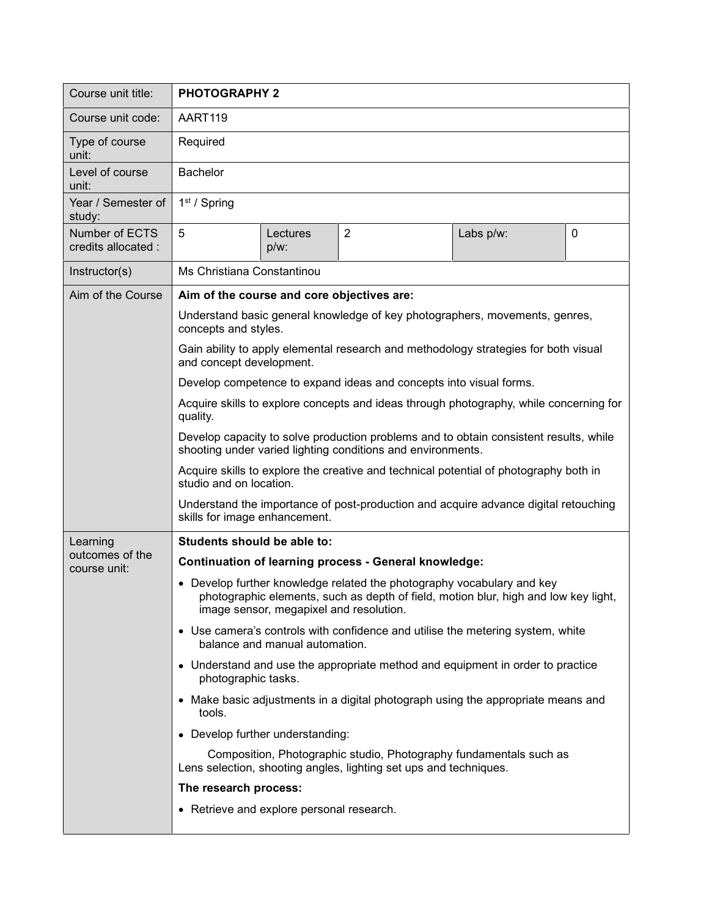| Course unit title:                    | <b>PHOTOGRAPHY 2</b>                                                                                                                                                                                   |                  |                |           |   |  |
|---------------------------------------|--------------------------------------------------------------------------------------------------------------------------------------------------------------------------------------------------------|------------------|----------------|-----------|---|--|
| Course unit code:                     | AART119                                                                                                                                                                                                |                  |                |           |   |  |
| Type of course<br>unit:               | Required                                                                                                                                                                                               |                  |                |           |   |  |
| Level of course<br>unit:              | <b>Bachelor</b>                                                                                                                                                                                        |                  |                |           |   |  |
| Year / Semester of<br>study:          | $1st$ / Spring                                                                                                                                                                                         |                  |                |           |   |  |
| Number of ECTS<br>credits allocated : | 5                                                                                                                                                                                                      | Lectures<br>p/w: | $\overline{2}$ | Labs p/w: | 0 |  |
| Instructor(s)                         | Ms Christiana Constantinou                                                                                                                                                                             |                  |                |           |   |  |
| Aim of the Course                     | Aim of the course and core objectives are:                                                                                                                                                             |                  |                |           |   |  |
|                                       | Understand basic general knowledge of key photographers, movements, genres,<br>concepts and styles.                                                                                                    |                  |                |           |   |  |
|                                       | Gain ability to apply elemental research and methodology strategies for both visual<br>and concept development.                                                                                        |                  |                |           |   |  |
|                                       | Develop competence to expand ideas and concepts into visual forms.                                                                                                                                     |                  |                |           |   |  |
|                                       | Acquire skills to explore concepts and ideas through photography, while concerning for<br>quality.                                                                                                     |                  |                |           |   |  |
|                                       | Develop capacity to solve production problems and to obtain consistent results, while<br>shooting under varied lighting conditions and environments.                                                   |                  |                |           |   |  |
|                                       | Acquire skills to explore the creative and technical potential of photography both in<br>studio and on location.                                                                                       |                  |                |           |   |  |
|                                       | Understand the importance of post-production and acquire advance digital retouching<br>skills for image enhancement.                                                                                   |                  |                |           |   |  |
| Learning                              | Students should be able to:                                                                                                                                                                            |                  |                |           |   |  |
| outcomes of the<br>course unit:       | <b>Continuation of learning process - General knowledge:</b>                                                                                                                                           |                  |                |           |   |  |
|                                       | Develop further knowledge related the photography vocabulary and key<br>photographic elements, such as depth of field, motion blur, high and low key light,<br>image sensor, megapixel and resolution. |                  |                |           |   |  |
|                                       | • Use camera's controls with confidence and utilise the metering system, white<br>balance and manual automation.                                                                                       |                  |                |           |   |  |
|                                       | • Understand and use the appropriate method and equipment in order to practice<br>photographic tasks.                                                                                                  |                  |                |           |   |  |
|                                       | • Make basic adjustments in a digital photograph using the appropriate means and<br>tools.                                                                                                             |                  |                |           |   |  |
|                                       | • Develop further understanding:                                                                                                                                                                       |                  |                |           |   |  |
|                                       | Composition, Photographic studio, Photography fundamentals such as<br>Lens selection, shooting angles, lighting set ups and techniques.                                                                |                  |                |           |   |  |
|                                       | The research process:                                                                                                                                                                                  |                  |                |           |   |  |
|                                       | • Retrieve and explore personal research.                                                                                                                                                              |                  |                |           |   |  |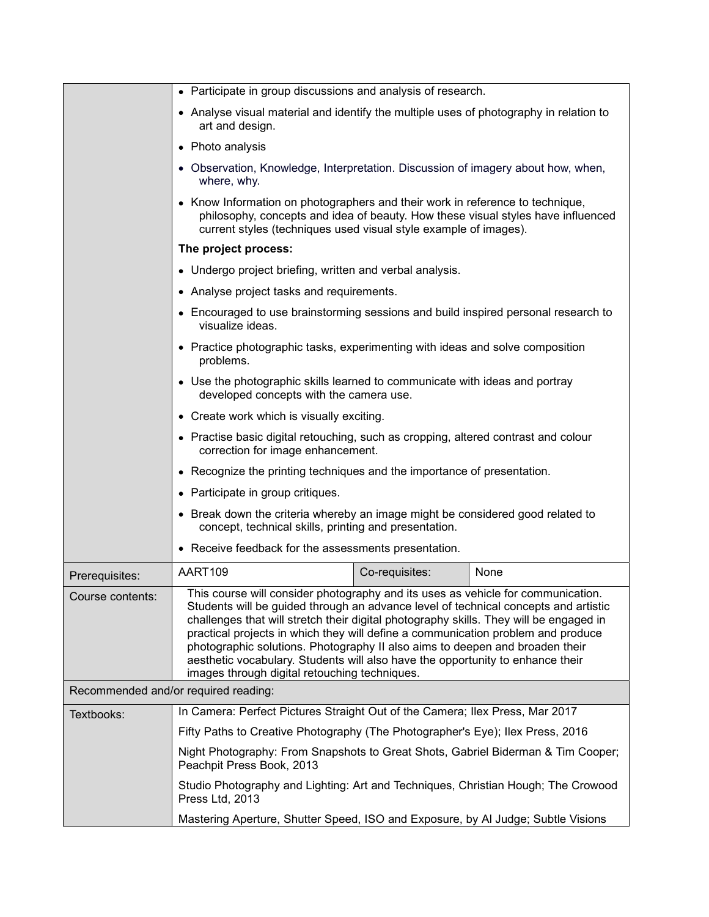|                                      | • Participate in group discussions and analysis of research.                                                                                                                                                                                                                                                                                                                                                                                                                                                                                                             |  |  |  |  |
|--------------------------------------|--------------------------------------------------------------------------------------------------------------------------------------------------------------------------------------------------------------------------------------------------------------------------------------------------------------------------------------------------------------------------------------------------------------------------------------------------------------------------------------------------------------------------------------------------------------------------|--|--|--|--|
|                                      | • Analyse visual material and identify the multiple uses of photography in relation to<br>art and design.                                                                                                                                                                                                                                                                                                                                                                                                                                                                |  |  |  |  |
|                                      | • Photo analysis                                                                                                                                                                                                                                                                                                                                                                                                                                                                                                                                                         |  |  |  |  |
|                                      | • Observation, Knowledge, Interpretation. Discussion of imagery about how, when,<br>where, why.                                                                                                                                                                                                                                                                                                                                                                                                                                                                          |  |  |  |  |
|                                      | • Know Information on photographers and their work in reference to technique,<br>philosophy, concepts and idea of beauty. How these visual styles have influenced<br>current styles (techniques used visual style example of images).                                                                                                                                                                                                                                                                                                                                    |  |  |  |  |
|                                      | The project process:                                                                                                                                                                                                                                                                                                                                                                                                                                                                                                                                                     |  |  |  |  |
|                                      | • Undergo project briefing, written and verbal analysis.                                                                                                                                                                                                                                                                                                                                                                                                                                                                                                                 |  |  |  |  |
|                                      | • Analyse project tasks and requirements.<br>• Encouraged to use brainstorming sessions and build inspired personal research to<br>visualize ideas.                                                                                                                                                                                                                                                                                                                                                                                                                      |  |  |  |  |
|                                      |                                                                                                                                                                                                                                                                                                                                                                                                                                                                                                                                                                          |  |  |  |  |
|                                      | • Practice photographic tasks, experimenting with ideas and solve composition<br>problems.                                                                                                                                                                                                                                                                                                                                                                                                                                                                               |  |  |  |  |
|                                      | • Use the photographic skills learned to communicate with ideas and portray<br>developed concepts with the camera use.                                                                                                                                                                                                                                                                                                                                                                                                                                                   |  |  |  |  |
|                                      | • Create work which is visually exciting.                                                                                                                                                                                                                                                                                                                                                                                                                                                                                                                                |  |  |  |  |
|                                      | • Practise basic digital retouching, such as cropping, altered contrast and colour<br>correction for image enhancement.                                                                                                                                                                                                                                                                                                                                                                                                                                                  |  |  |  |  |
|                                      | • Recognize the printing techniques and the importance of presentation.                                                                                                                                                                                                                                                                                                                                                                                                                                                                                                  |  |  |  |  |
|                                      | • Participate in group critiques.                                                                                                                                                                                                                                                                                                                                                                                                                                                                                                                                        |  |  |  |  |
|                                      | • Break down the criteria whereby an image might be considered good related to<br>concept, technical skills, printing and presentation.                                                                                                                                                                                                                                                                                                                                                                                                                                  |  |  |  |  |
|                                      | • Receive feedback for the assessments presentation.                                                                                                                                                                                                                                                                                                                                                                                                                                                                                                                     |  |  |  |  |
| Prerequisites:                       | AART109<br>None<br>Co-requisites:                                                                                                                                                                                                                                                                                                                                                                                                                                                                                                                                        |  |  |  |  |
| Course contents:                     | This course will consider photography and its uses as vehicle for communication.<br>Students will be guided through an advance level of technical concepts and artistic<br>challenges that will stretch their digital photography skills. They will be engaged in<br>practical projects in which they will define a communication problem and produce<br>photographic solutions. Photography II also aims to deepen and broaden their<br>aesthetic vocabulary. Students will also have the opportunity to enhance their<br>images through digital retouching techniques. |  |  |  |  |
| Recommended and/or required reading: |                                                                                                                                                                                                                                                                                                                                                                                                                                                                                                                                                                          |  |  |  |  |
| Textbooks:                           | In Camera: Perfect Pictures Straight Out of the Camera; Ilex Press, Mar 2017                                                                                                                                                                                                                                                                                                                                                                                                                                                                                             |  |  |  |  |
|                                      | Fifty Paths to Creative Photography (The Photographer's Eye); Ilex Press, 2016                                                                                                                                                                                                                                                                                                                                                                                                                                                                                           |  |  |  |  |
|                                      | Night Photography: From Snapshots to Great Shots, Gabriel Biderman & Tim Cooper;<br>Peachpit Press Book, 2013<br>Studio Photography and Lighting: Art and Techniques, Christian Hough; The Crowood<br>Press Ltd, 2013                                                                                                                                                                                                                                                                                                                                                    |  |  |  |  |
|                                      |                                                                                                                                                                                                                                                                                                                                                                                                                                                                                                                                                                          |  |  |  |  |
|                                      | Mastering Aperture, Shutter Speed, ISO and Exposure, by AI Judge; Subtle Visions                                                                                                                                                                                                                                                                                                                                                                                                                                                                                         |  |  |  |  |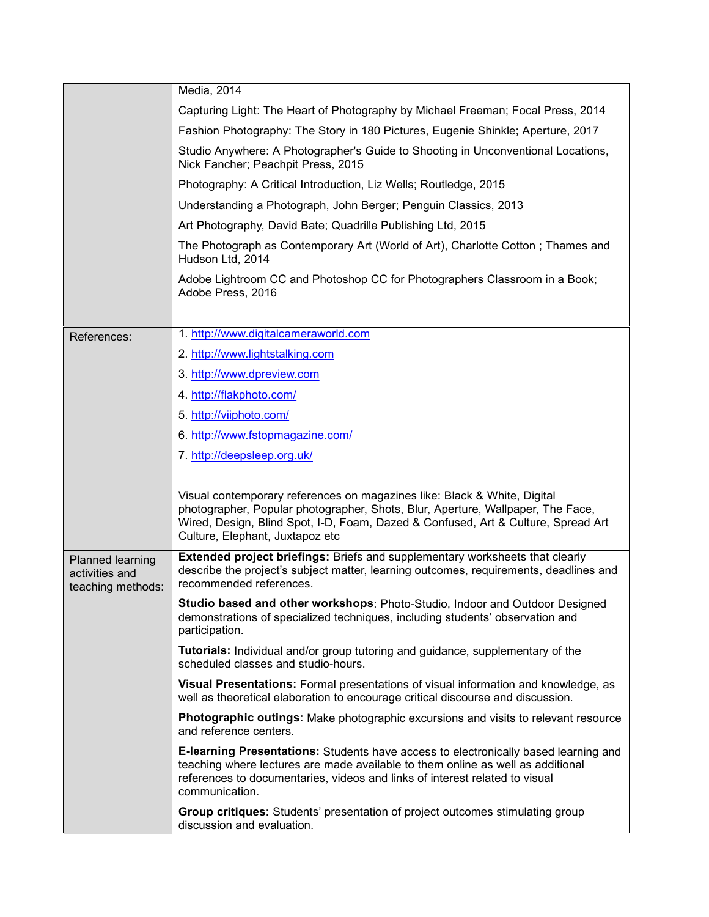|                                                         | Media, 2014                                                                                                                                                                                                                                                                         |  |  |  |
|---------------------------------------------------------|-------------------------------------------------------------------------------------------------------------------------------------------------------------------------------------------------------------------------------------------------------------------------------------|--|--|--|
|                                                         | Capturing Light: The Heart of Photography by Michael Freeman; Focal Press, 2014                                                                                                                                                                                                     |  |  |  |
|                                                         | Fashion Photography: The Story in 180 Pictures, Eugenie Shinkle; Aperture, 2017                                                                                                                                                                                                     |  |  |  |
|                                                         | Studio Anywhere: A Photographer's Guide to Shooting in Unconventional Locations,<br>Nick Fancher; Peachpit Press, 2015                                                                                                                                                              |  |  |  |
|                                                         | Photography: A Critical Introduction, Liz Wells; Routledge, 2015                                                                                                                                                                                                                    |  |  |  |
|                                                         | Understanding a Photograph, John Berger; Penguin Classics, 2013                                                                                                                                                                                                                     |  |  |  |
|                                                         | Art Photography, David Bate; Quadrille Publishing Ltd, 2015                                                                                                                                                                                                                         |  |  |  |
|                                                         | The Photograph as Contemporary Art (World of Art), Charlotte Cotton; Thames and<br>Hudson Ltd, 2014                                                                                                                                                                                 |  |  |  |
|                                                         | Adobe Lightroom CC and Photoshop CC for Photographers Classroom in a Book;<br>Adobe Press, 2016                                                                                                                                                                                     |  |  |  |
|                                                         |                                                                                                                                                                                                                                                                                     |  |  |  |
| References:                                             | 1. http://www.digitalcameraworld.com                                                                                                                                                                                                                                                |  |  |  |
|                                                         | 2. http://www.lightstalking.com                                                                                                                                                                                                                                                     |  |  |  |
|                                                         | 3. http://www.dpreview.com                                                                                                                                                                                                                                                          |  |  |  |
|                                                         | 4. http://flakphoto.com/                                                                                                                                                                                                                                                            |  |  |  |
|                                                         | 5. http://viiphoto.com/                                                                                                                                                                                                                                                             |  |  |  |
|                                                         | 6. http://www.fstopmagazine.com/                                                                                                                                                                                                                                                    |  |  |  |
|                                                         | 7. http://deepsleep.org.uk/                                                                                                                                                                                                                                                         |  |  |  |
|                                                         |                                                                                                                                                                                                                                                                                     |  |  |  |
|                                                         | Visual contemporary references on magazines like: Black & White, Digital<br>photographer, Popular photographer, Shots, Blur, Aperture, Wallpaper, The Face,<br>Wired, Design, Blind Spot, I-D, Foam, Dazed & Confused, Art & Culture, Spread Art<br>Culture, Elephant, Juxtapoz etc |  |  |  |
| Planned learning<br>activities and<br>teaching methods: | <b>Extended project briefings: Briefs and supplementary worksheets that clearly</b><br>describe the project's subject matter, learning outcomes, requirements, deadlines and<br>recommended references.                                                                             |  |  |  |
|                                                         | Studio based and other workshops: Photo-Studio, Indoor and Outdoor Designed<br>demonstrations of specialized techniques, including students' observation and<br>participation.                                                                                                      |  |  |  |
|                                                         | Tutorials: Individual and/or group tutoring and guidance, supplementary of the<br>scheduled classes and studio-hours.                                                                                                                                                               |  |  |  |
|                                                         | Visual Presentations: Formal presentations of visual information and knowledge, as<br>well as theoretical elaboration to encourage critical discourse and discussion.                                                                                                               |  |  |  |
|                                                         | Photographic outings: Make photographic excursions and visits to relevant resource<br>and reference centers.                                                                                                                                                                        |  |  |  |
|                                                         | <b>E-learning Presentations:</b> Students have access to electronically based learning and<br>teaching where lectures are made available to them online as well as additional<br>references to documentaries, videos and links of interest related to visual<br>communication.      |  |  |  |
|                                                         | Group critiques: Students' presentation of project outcomes stimulating group<br>discussion and evaluation.                                                                                                                                                                         |  |  |  |